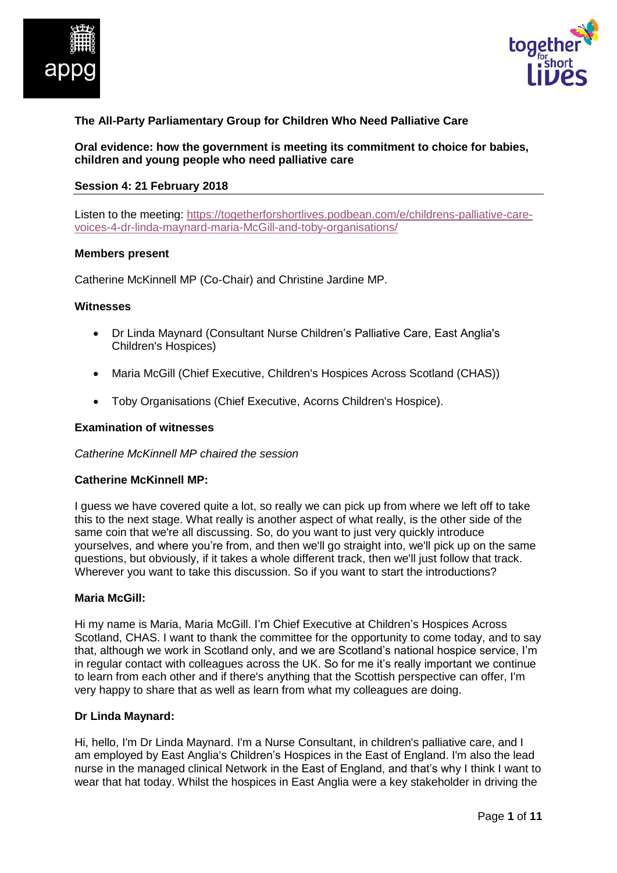



# **The All-Party Parliamentary Group for Children Who Need Palliative Care**

**Oral evidence: how the government is meeting its commitment to choice for babies, children and young people who need palliative care**

#### **Session 4: 21 February 2018**

Listen to the meeting: [https://togetherforshortlives.podbean.com/e/childrens-palliative-care](https://togetherforshortlives.podbean.com/e/childrens-palliative-care-voices-4-dr-linda-maynard-maria-mcgill-and-toby-porter/)[voices-4-dr-linda-maynard-maria-McGill-and-toby-organisations/](https://togetherforshortlives.podbean.com/e/childrens-palliative-care-voices-4-dr-linda-maynard-maria-mcgill-and-toby-porter/)

#### **Members present**

Catherine McKinnell MP (Co-Chair) and Christine Jardine MP.

#### **Witnesses**

- Dr Linda Maynard (Consultant Nurse Children's Palliative Care, East Anglia's Children's Hospices)
- Maria McGill (Chief Executive, Children's Hospices Across Scotland (CHAS))
- Toby Organisations (Chief Executive, Acorns Children's Hospice).

#### **Examination of witnesses**

#### *Catherine McKinnell MP chaired the session*

#### **Catherine McKinnell MP:**

I guess we have covered quite a lot, so really we can pick up from where we left off to take this to the next stage. What really is another aspect of what really, is the other side of the same coin that we're all discussing. So, do you want to just very quickly introduce yourselves, and where you're from, and then we'll go straight into, we'll pick up on the same questions, but obviously, if it takes a whole different track, then we'll just follow that track. Wherever you want to take this discussion. So if you want to start the introductions?

#### **Maria McGill:**

Hi my name is Maria, Maria McGill. I'm Chief Executive at Children's Hospices Across Scotland, CHAS. I want to thank the committee for the opportunity to come today, and to say that, although we work in Scotland only, and we are Scotland's national hospice service, I'm in regular contact with colleagues across the UK. So for me it's really important we continue to learn from each other and if there's anything that the Scottish perspective can offer, I'm very happy to share that as well as learn from what my colleagues are doing.

#### **Dr Linda Maynard:**

Hi, hello, I'm Dr Linda Maynard. I'm a Nurse Consultant, in children's palliative care, and I am employed by East Anglia's Children's Hospices in the East of England. I'm also the lead nurse in the managed clinical Network in the East of England, and that's why I think I want to wear that hat today. Whilst the hospices in East Anglia were a key stakeholder in driving the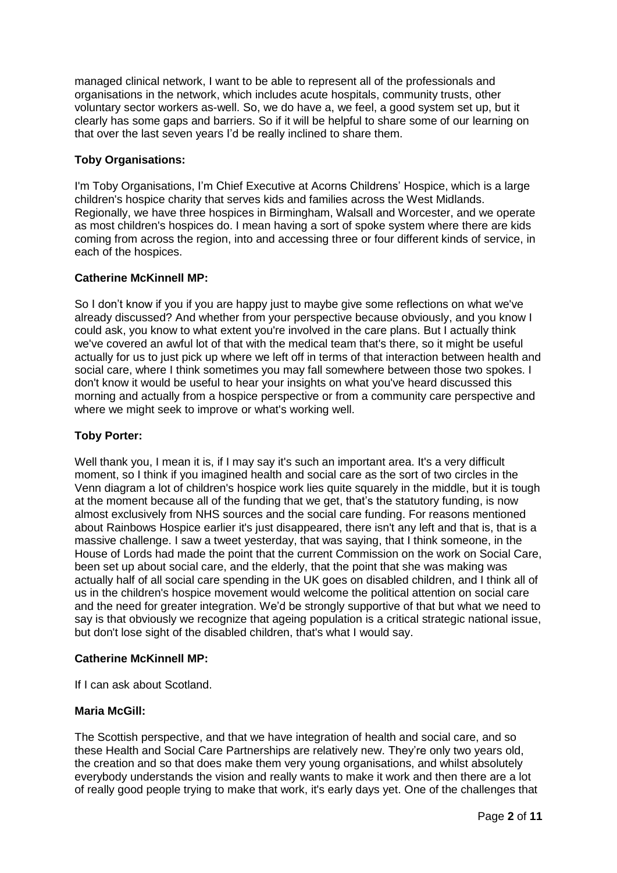managed clinical network, I want to be able to represent all of the professionals and organisations in the network, which includes acute hospitals, community trusts, other voluntary sector workers as-well. So, we do have a, we feel, a good system set up, but it clearly has some gaps and barriers. So if it will be helpful to share some of our learning on that over the last seven years I'd be really inclined to share them.

## **Toby Organisations:**

I'm Toby Organisations, I'm Chief Executive at Acorns Childrens' Hospice, which is a large children's hospice charity that serves kids and families across the West Midlands. Regionally, we have three hospices in Birmingham, Walsall and Worcester, and we operate as most children's hospices do. I mean having a sort of spoke system where there are kids coming from across the region, into and accessing three or four different kinds of service, in each of the hospices.

#### **Catherine McKinnell MP:**

So I don't know if you if you are happy just to maybe give some reflections on what we've already discussed? And whether from your perspective because obviously, and you know I could ask, you know to what extent you're involved in the care plans. But I actually think we've covered an awful lot of that with the medical team that's there, so it might be useful actually for us to just pick up where we left off in terms of that interaction between health and social care, where I think sometimes you may fall somewhere between those two spokes. I don't know it would be useful to hear your insights on what you've heard discussed this morning and actually from a hospice perspective or from a community care perspective and where we might seek to improve or what's working well.

## **Toby Porter:**

Well thank you, I mean it is, if I may say it's such an important area. It's a very difficult moment, so I think if you imagined health and social care as the sort of two circles in the Venn diagram a lot of children's hospice work lies quite squarely in the middle, but it is tough at the moment because all of the funding that we get, that's the statutory funding, is now almost exclusively from NHS sources and the social care funding. For reasons mentioned about Rainbows Hospice earlier it's just disappeared, there isn't any left and that is, that is a massive challenge. I saw a tweet yesterday, that was saying, that I think someone, in the House of Lords had made the point that the current Commission on the work on Social Care, been set up about social care, and the elderly, that the point that she was making was actually half of all social care spending in the UK goes on disabled children, and I think all of us in the children's hospice movement would welcome the political attention on social care and the need for greater integration. We'd be strongly supportive of that but what we need to say is that obviously we recognize that ageing population is a critical strategic national issue, but don't lose sight of the disabled children, that's what I would say.

#### **Catherine McKinnell MP:**

If I can ask about Scotland.

#### **Maria McGill:**

The Scottish perspective, and that we have integration of health and social care, and so these Health and Social Care Partnerships are relatively new. They're only two years old, the creation and so that does make them very young organisations, and whilst absolutely everybody understands the vision and really wants to make it work and then there are a lot of really good people trying to make that work, it's early days yet. One of the challenges that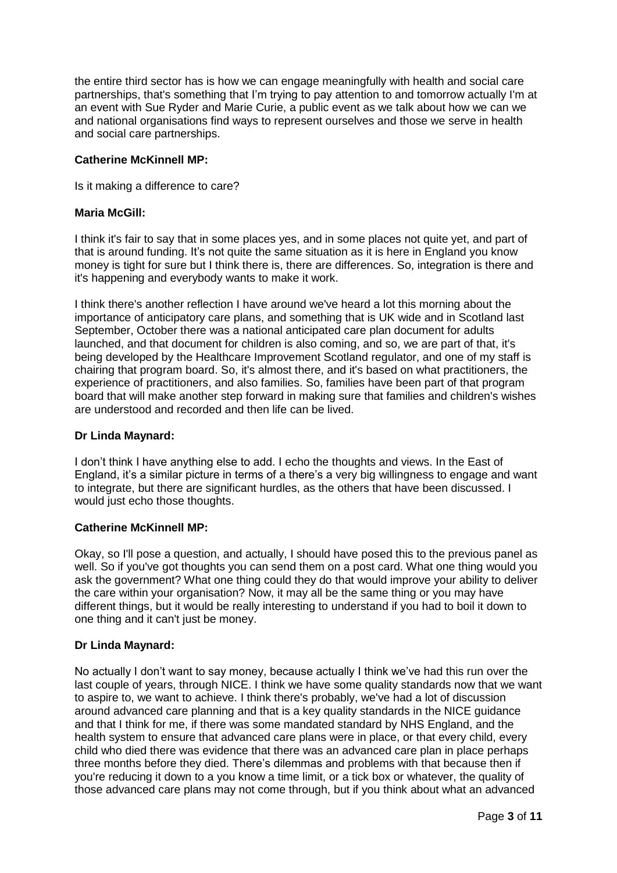the entire third sector has is how we can engage meaningfully with health and social care partnerships, that's something that I'm trying to pay attention to and tomorrow actually I'm at an event with Sue Ryder and Marie Curie, a public event as we talk about how we can we and national organisations find ways to represent ourselves and those we serve in health and social care partnerships.

#### **Catherine McKinnell MP:**

Is it making a difference to care?

#### **Maria McGill:**

I think it's fair to say that in some places yes, and in some places not quite yet, and part of that is around funding. It's not quite the same situation as it is here in England you know money is tight for sure but I think there is, there are differences. So, integration is there and it's happening and everybody wants to make it work.

I think there's another reflection I have around we've heard a lot this morning about the importance of anticipatory care plans, and something that is UK wide and in Scotland last September, October there was a national anticipated care plan document for adults launched, and that document for children is also coming, and so, we are part of that, it's being developed by the Healthcare Improvement Scotland regulator, and one of my staff is chairing that program board. So, it's almost there, and it's based on what practitioners, the experience of practitioners, and also families. So, families have been part of that program board that will make another step forward in making sure that families and children's wishes are understood and recorded and then life can be lived.

#### **Dr Linda Maynard:**

I don't think I have anything else to add. I echo the thoughts and views. In the East of England, it's a similar picture in terms of a there's a very big willingness to engage and want to integrate, but there are significant hurdles, as the others that have been discussed. I would just echo those thoughts.

## **Catherine McKinnell MP:**

Okay, so I'll pose a question, and actually, I should have posed this to the previous panel as well. So if you've got thoughts you can send them on a post card. What one thing would you ask the government? What one thing could they do that would improve your ability to deliver the care within your organisation? Now, it may all be the same thing or you may have different things, but it would be really interesting to understand if you had to boil it down to one thing and it can't just be money.

## **Dr Linda Maynard:**

No actually I don't want to say money, because actually I think we've had this run over the last couple of years, through NICE. I think we have some quality standards now that we want to aspire to, we want to achieve. I think there's probably, we've had a lot of discussion around advanced care planning and that is a key quality standards in the NICE guidance and that I think for me, if there was some mandated standard by NHS England, and the health system to ensure that advanced care plans were in place, or that every child, every child who died there was evidence that there was an advanced care plan in place perhaps three months before they died. There's dilemmas and problems with that because then if you're reducing it down to a you know a time limit, or a tick box or whatever, the quality of those advanced care plans may not come through, but if you think about what an advanced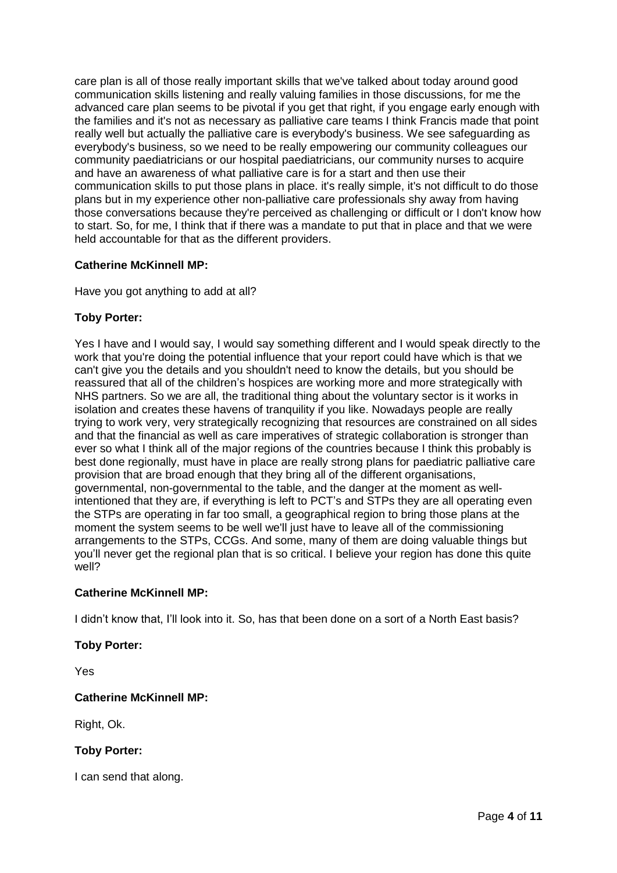care plan is all of those really important skills that we've talked about today around good communication skills listening and really valuing families in those discussions, for me the advanced care plan seems to be pivotal if you get that right, if you engage early enough with the families and it's not as necessary as palliative care teams I think Francis made that point really well but actually the palliative care is everybody's business. We see safeguarding as everybody's business, so we need to be really empowering our community colleagues our community paediatricians or our hospital paediatricians, our community nurses to acquire and have an awareness of what palliative care is for a start and then use their communication skills to put those plans in place. it's really simple, it's not difficult to do those plans but in my experience other non-palliative care professionals shy away from having those conversations because they're perceived as challenging or difficult or I don't know how to start. So, for me, I think that if there was a mandate to put that in place and that we were held accountable for that as the different providers.

## **Catherine McKinnell MP:**

Have you got anything to add at all?

## **Toby Porter:**

Yes I have and I would say, I would say something different and I would speak directly to the work that you're doing the potential influence that your report could have which is that we can't give you the details and you shouldn't need to know the details, but you should be reassured that all of the children's hospices are working more and more strategically with NHS partners. So we are all, the traditional thing about the voluntary sector is it works in isolation and creates these havens of tranquility if you like. Nowadays people are really trying to work very, very strategically recognizing that resources are constrained on all sides and that the financial as well as care imperatives of strategic collaboration is stronger than ever so what I think all of the major regions of the countries because I think this probably is best done regionally, must have in place are really strong plans for paediatric palliative care provision that are broad enough that they bring all of the different organisations, governmental, non-governmental to the table, and the danger at the moment as wellintentioned that they are, if everything is left to PCT's and STPs they are all operating even the STPs are operating in far too small, a geographical region to bring those plans at the moment the system seems to be well we'll just have to leave all of the commissioning arrangements to the STPs, CCGs. And some, many of them are doing valuable things but you'll never get the regional plan that is so critical. I believe your region has done this quite well?

## **Catherine McKinnell MP:**

I didn't know that, I'll look into it. So, has that been done on a sort of a North East basis?

## **Toby Porter:**

Yes

## **Catherine McKinnell MP:**

Right, Ok.

## **Toby Porter:**

I can send that along.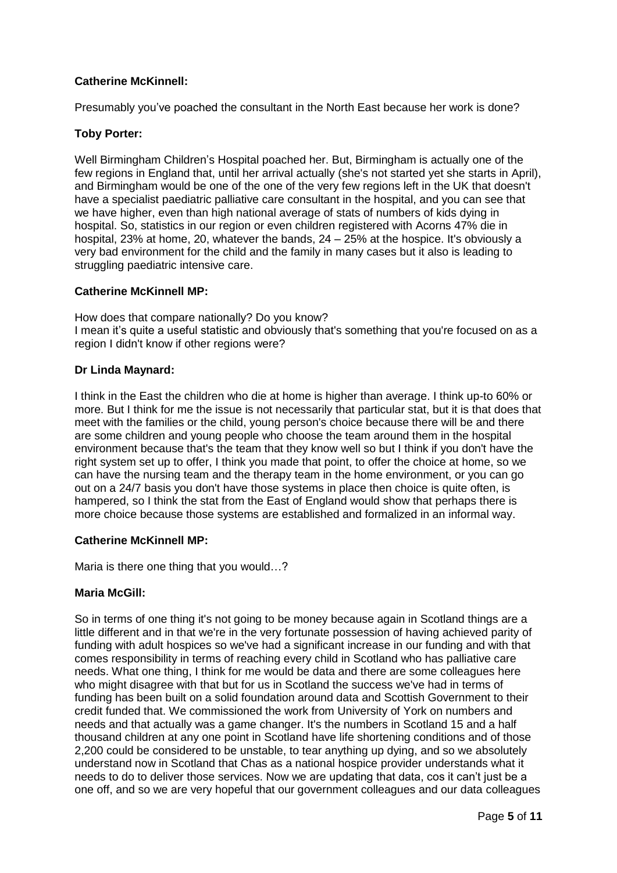# **Catherine McKinnell:**

Presumably you've poached the consultant in the North East because her work is done?

## **Toby Porter:**

Well Birmingham Children's Hospital poached her. But, Birmingham is actually one of the few regions in England that, until her arrival actually (she's not started yet she starts in April), and Birmingham would be one of the one of the very few regions left in the UK that doesn't have a specialist paediatric palliative care consultant in the hospital, and you can see that we have higher, even than high national average of stats of numbers of kids dying in hospital. So, statistics in our region or even children registered with Acorns 47% die in hospital, 23% at home, 20, whatever the bands, 24 – 25% at the hospice. It's obviously a very bad environment for the child and the family in many cases but it also is leading to struggling paediatric intensive care.

## **Catherine McKinnell MP:**

How does that compare nationally? Do you know? I mean it's quite a useful statistic and obviously that's something that you're focused on as a region I didn't know if other regions were?

## **Dr Linda Maynard:**

I think in the East the children who die at home is higher than average. I think up-to 60% or more. But I think for me the issue is not necessarily that particular stat, but it is that does that meet with the families or the child, young person's choice because there will be and there are some children and young people who choose the team around them in the hospital environment because that's the team that they know well so but I think if you don't have the right system set up to offer, I think you made that point, to offer the choice at home, so we can have the nursing team and the therapy team in the home environment, or you can go out on a 24/7 basis you don't have those systems in place then choice is quite often, is hampered, so I think the stat from the East of England would show that perhaps there is more choice because those systems are established and formalized in an informal way.

## **Catherine McKinnell MP:**

Maria is there one thing that you would…?

## **Maria McGill:**

So in terms of one thing it's not going to be money because again in Scotland things are a little different and in that we're in the very fortunate possession of having achieved parity of funding with adult hospices so we've had a significant increase in our funding and with that comes responsibility in terms of reaching every child in Scotland who has palliative care needs. What one thing, I think for me would be data and there are some colleagues here who might disagree with that but for us in Scotland the success we've had in terms of funding has been built on a solid foundation around data and Scottish Government to their credit funded that. We commissioned the work from University of York on numbers and needs and that actually was a game changer. It's the numbers in Scotland 15 and a half thousand children at any one point in Scotland have life shortening conditions and of those 2,200 could be considered to be unstable, to tear anything up dying, and so we absolutely understand now in Scotland that Chas as a national hospice provider understands what it needs to do to deliver those services. Now we are updating that data, cos it can't just be a one off, and so we are very hopeful that our government colleagues and our data colleagues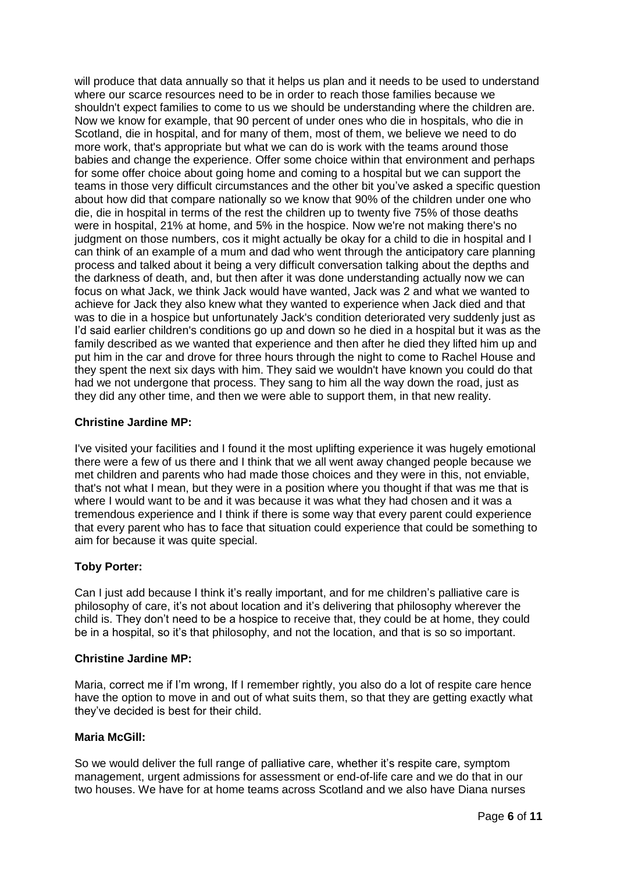will produce that data annually so that it helps us plan and it needs to be used to understand where our scarce resources need to be in order to reach those families because we shouldn't expect families to come to us we should be understanding where the children are. Now we know for example, that 90 percent of under ones who die in hospitals, who die in Scotland, die in hospital, and for many of them, most of them, we believe we need to do more work, that's appropriate but what we can do is work with the teams around those babies and change the experience. Offer some choice within that environment and perhaps for some offer choice about going home and coming to a hospital but we can support the teams in those very difficult circumstances and the other bit you've asked a specific question about how did that compare nationally so we know that 90% of the children under one who die, die in hospital in terms of the rest the children up to twenty five 75% of those deaths were in hospital, 21% at home, and 5% in the hospice. Now we're not making there's no judgment on those numbers, cos it might actually be okay for a child to die in hospital and I can think of an example of a mum and dad who went through the anticipatory care planning process and talked about it being a very difficult conversation talking about the depths and the darkness of death, and, but then after it was done understanding actually now we can focus on what Jack, we think Jack would have wanted, Jack was 2 and what we wanted to achieve for Jack they also knew what they wanted to experience when Jack died and that was to die in a hospice but unfortunately Jack's condition deteriorated very suddenly just as I'd said earlier children's conditions go up and down so he died in a hospital but it was as the family described as we wanted that experience and then after he died they lifted him up and put him in the car and drove for three hours through the night to come to Rachel House and they spent the next six days with him. They said we wouldn't have known you could do that had we not undergone that process. They sang to him all the way down the road, just as they did any other time, and then we were able to support them, in that new reality.

## **Christine Jardine MP:**

I've visited your facilities and I found it the most uplifting experience it was hugely emotional there were a few of us there and I think that we all went away changed people because we met children and parents who had made those choices and they were in this, not enviable, that's not what I mean, but they were in a position where you thought if that was me that is where I would want to be and it was because it was what they had chosen and it was a tremendous experience and I think if there is some way that every parent could experience that every parent who has to face that situation could experience that could be something to aim for because it was quite special.

## **Toby Porter:**

Can I just add because I think it's really important, and for me children's palliative care is philosophy of care, it's not about location and it's delivering that philosophy wherever the child is. They don't need to be a hospice to receive that, they could be at home, they could be in a hospital, so it's that philosophy, and not the location, and that is so so important.

#### **Christine Jardine MP:**

Maria, correct me if I'm wrong, If I remember rightly, you also do a lot of respite care hence have the option to move in and out of what suits them, so that they are getting exactly what they've decided is best for their child.

#### **Maria McGill:**

So we would deliver the full range of palliative care, whether it's respite care, symptom management, urgent admissions for assessment or end-of-life care and we do that in our two houses. We have for at home teams across Scotland and we also have Diana nurses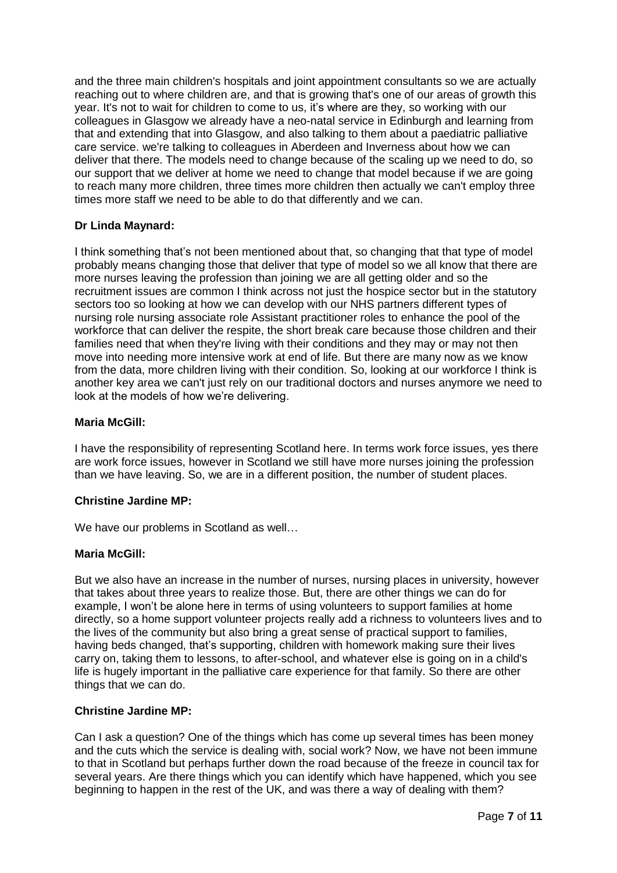and the three main children's hospitals and joint appointment consultants so we are actually reaching out to where children are, and that is growing that's one of our areas of growth this year. It's not to wait for children to come to us, it's where are they, so working with our colleagues in Glasgow we already have a neo-natal service in Edinburgh and learning from that and extending that into Glasgow, and also talking to them about a paediatric palliative care service. we're talking to colleagues in Aberdeen and Inverness about how we can deliver that there. The models need to change because of the scaling up we need to do, so our support that we deliver at home we need to change that model because if we are going to reach many more children, three times more children then actually we can't employ three times more staff we need to be able to do that differently and we can.

# **Dr Linda Maynard:**

I think something that's not been mentioned about that, so changing that that type of model probably means changing those that deliver that type of model so we all know that there are more nurses leaving the profession than joining we are all getting older and so the recruitment issues are common I think across not just the hospice sector but in the statutory sectors too so looking at how we can develop with our NHS partners different types of nursing role nursing associate role Assistant practitioner roles to enhance the pool of the workforce that can deliver the respite, the short break care because those children and their families need that when they're living with their conditions and they may or may not then move into needing more intensive work at end of life. But there are many now as we know from the data, more children living with their condition. So, looking at our workforce I think is another key area we can't just rely on our traditional doctors and nurses anymore we need to look at the models of how we're delivering.

#### **Maria McGill:**

I have the responsibility of representing Scotland here. In terms work force issues, yes there are work force issues, however in Scotland we still have more nurses joining the profession than we have leaving. So, we are in a different position, the number of student places.

## **Christine Jardine MP:**

We have our problems in Scotland as well…

#### **Maria McGill:**

But we also have an increase in the number of nurses, nursing places in university, however that takes about three years to realize those. But, there are other things we can do for example, I won't be alone here in terms of using volunteers to support families at home directly, so a home support volunteer projects really add a richness to volunteers lives and to the lives of the community but also bring a great sense of practical support to families, having beds changed, that's supporting, children with homework making sure their lives carry on, taking them to lessons, to after-school, and whatever else is going on in a child's life is hugely important in the palliative care experience for that family. So there are other things that we can do.

#### **Christine Jardine MP:**

Can I ask a question? One of the things which has come up several times has been money and the cuts which the service is dealing with, social work? Now, we have not been immune to that in Scotland but perhaps further down the road because of the freeze in council tax for several years. Are there things which you can identify which have happened, which you see beginning to happen in the rest of the UK, and was there a way of dealing with them?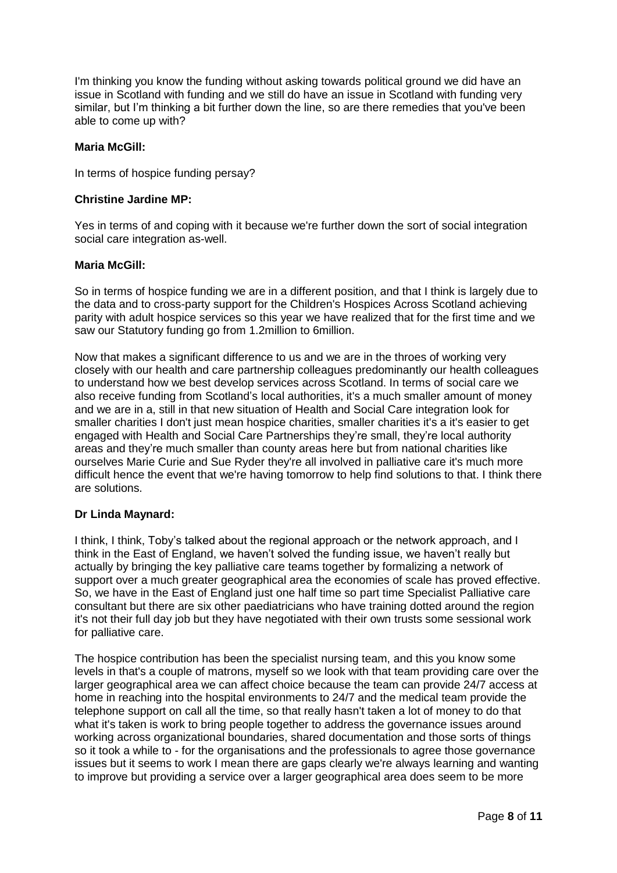I'm thinking you know the funding without asking towards political ground we did have an issue in Scotland with funding and we still do have an issue in Scotland with funding very similar, but I'm thinking a bit further down the line, so are there remedies that you've been able to come up with?

#### **Maria McGill:**

In terms of hospice funding persay?

#### **Christine Jardine MP:**

Yes in terms of and coping with it because we're further down the sort of social integration social care integration as-well.

#### **Maria McGill:**

So in terms of hospice funding we are in a different position, and that I think is largely due to the data and to cross-party support for the Children's Hospices Across Scotland achieving parity with adult hospice services so this year we have realized that for the first time and we saw our Statutory funding go from 1.2million to 6million.

Now that makes a significant difference to us and we are in the throes of working very closely with our health and care partnership colleagues predominantly our health colleagues to understand how we best develop services across Scotland. In terms of social care we also receive funding from Scotland's local authorities, it's a much smaller amount of money and we are in a, still in that new situation of Health and Social Care integration look for smaller charities I don't just mean hospice charities, smaller charities it's a it's easier to get engaged with Health and Social Care Partnerships they're small, they're local authority areas and they're much smaller than county areas here but from national charities like ourselves Marie Curie and Sue Ryder they're all involved in palliative care it's much more difficult hence the event that we're having tomorrow to help find solutions to that. I think there are solutions.

## **Dr Linda Maynard:**

I think, I think, Toby's talked about the regional approach or the network approach, and I think in the East of England, we haven't solved the funding issue, we haven't really but actually by bringing the key palliative care teams together by formalizing a network of support over a much greater geographical area the economies of scale has proved effective. So, we have in the East of England just one half time so part time Specialist Palliative care consultant but there are six other paediatricians who have training dotted around the region it's not their full day job but they have negotiated with their own trusts some sessional work for palliative care.

The hospice contribution has been the specialist nursing team, and this you know some levels in that's a couple of matrons, myself so we look with that team providing care over the larger geographical area we can affect choice because the team can provide 24/7 access at home in reaching into the hospital environments to 24/7 and the medical team provide the telephone support on call all the time, so that really hasn't taken a lot of money to do that what it's taken is work to bring people together to address the governance issues around working across organizational boundaries, shared documentation and those sorts of things so it took a while to - for the organisations and the professionals to agree those governance issues but it seems to work I mean there are gaps clearly we're always learning and wanting to improve but providing a service over a larger geographical area does seem to be more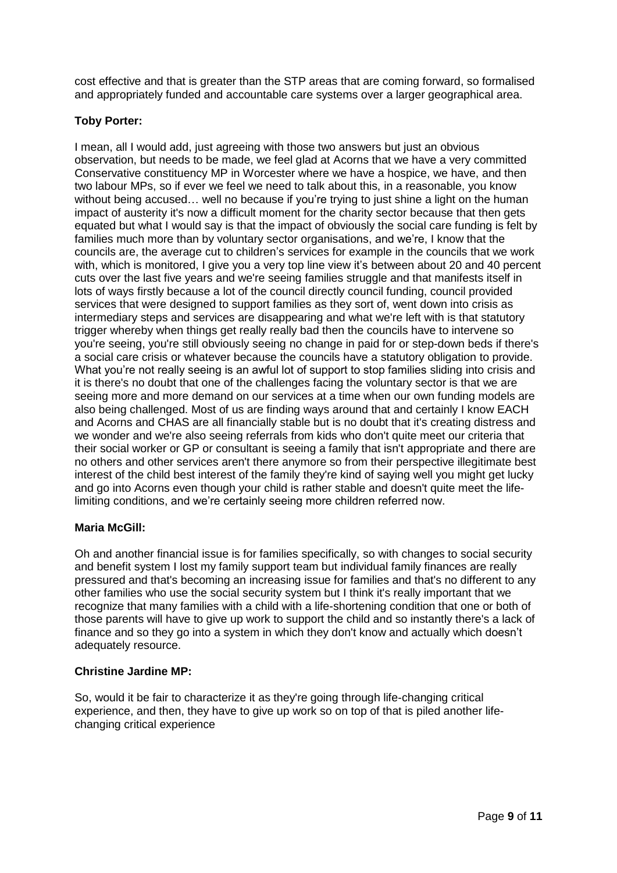cost effective and that is greater than the STP areas that are coming forward, so formalised and appropriately funded and accountable care systems over a larger geographical area.

# **Toby Porter:**

I mean, all I would add, just agreeing with those two answers but just an obvious observation, but needs to be made, we feel glad at Acorns that we have a very committed Conservative constituency MP in Worcester where we have a hospice, we have, and then two labour MPs, so if ever we feel we need to talk about this, in a reasonable, you know without being accused... well no because if you're trying to just shine a light on the human impact of austerity it's now a difficult moment for the charity sector because that then gets equated but what I would say is that the impact of obviously the social care funding is felt by families much more than by voluntary sector organisations, and we're, I know that the councils are, the average cut to children's services for example in the councils that we work with, which is monitored, I give you a very top line view it's between about 20 and 40 percent cuts over the last five years and we're seeing families struggle and that manifests itself in lots of ways firstly because a lot of the council directly council funding, council provided services that were designed to support families as they sort of, went down into crisis as intermediary steps and services are disappearing and what we're left with is that statutory trigger whereby when things get really really bad then the councils have to intervene so you're seeing, you're still obviously seeing no change in paid for or step-down beds if there's a social care crisis or whatever because the councils have a statutory obligation to provide. What you're not really seeing is an awful lot of support to stop families sliding into crisis and it is there's no doubt that one of the challenges facing the voluntary sector is that we are seeing more and more demand on our services at a time when our own funding models are also being challenged. Most of us are finding ways around that and certainly I know EACH and Acorns and CHAS are all financially stable but is no doubt that it's creating distress and we wonder and we're also seeing referrals from kids who don't quite meet our criteria that their social worker or GP or consultant is seeing a family that isn't appropriate and there are no others and other services aren't there anymore so from their perspective illegitimate best interest of the child best interest of the family they're kind of saying well you might get lucky and go into Acorns even though your child is rather stable and doesn't quite meet the lifelimiting conditions, and we're certainly seeing more children referred now.

## **Maria McGill:**

Oh and another financial issue is for families specifically, so with changes to social security and benefit system I lost my family support team but individual family finances are really pressured and that's becoming an increasing issue for families and that's no different to any other families who use the social security system but I think it's really important that we recognize that many families with a child with a life-shortening condition that one or both of those parents will have to give up work to support the child and so instantly there's a lack of finance and so they go into a system in which they don't know and actually which doesn't adequately resource.

## **Christine Jardine MP:**

So, would it be fair to characterize it as they're going through life-changing critical experience, and then, they have to give up work so on top of that is piled another lifechanging critical experience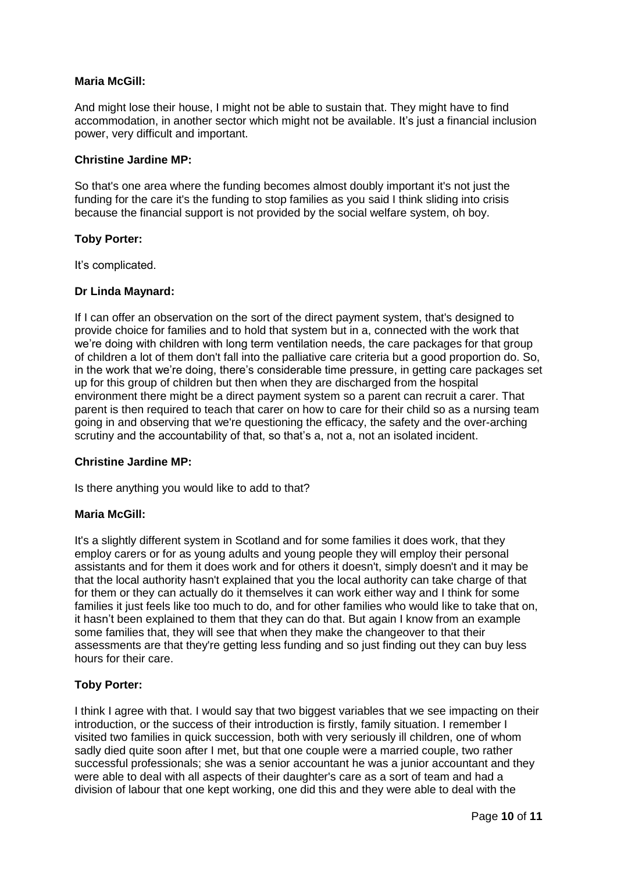#### **Maria McGill:**

And might lose their house, I might not be able to sustain that. They might have to find accommodation, in another sector which might not be available. It's just a financial inclusion power, very difficult and important.

#### **Christine Jardine MP:**

So that's one area where the funding becomes almost doubly important it's not just the funding for the care it's the funding to stop families as you said I think sliding into crisis because the financial support is not provided by the social welfare system, oh boy.

#### **Toby Porter:**

It's complicated.

#### **Dr Linda Maynard:**

If I can offer an observation on the sort of the direct payment system, that's designed to provide choice for families and to hold that system but in a, connected with the work that we're doing with children with long term ventilation needs, the care packages for that group of children a lot of them don't fall into the palliative care criteria but a good proportion do. So, in the work that we're doing, there's considerable time pressure, in getting care packages set up for this group of children but then when they are discharged from the hospital environment there might be a direct payment system so a parent can recruit a carer. That parent is then required to teach that carer on how to care for their child so as a nursing team going in and observing that we're questioning the efficacy, the safety and the over-arching scrutiny and the accountability of that, so that's a, not a, not an isolated incident.

## **Christine Jardine MP:**

Is there anything you would like to add to that?

#### **Maria McGill:**

It's a slightly different system in Scotland and for some families it does work, that they employ carers or for as young adults and young people they will employ their personal assistants and for them it does work and for others it doesn't, simply doesn't and it may be that the local authority hasn't explained that you the local authority can take charge of that for them or they can actually do it themselves it can work either way and I think for some families it just feels like too much to do, and for other families who would like to take that on, it hasn't been explained to them that they can do that. But again I know from an example some families that, they will see that when they make the changeover to that their assessments are that they're getting less funding and so just finding out they can buy less hours for their care.

## **Toby Porter:**

I think I agree with that. I would say that two biggest variables that we see impacting on their introduction, or the success of their introduction is firstly, family situation. I remember I visited two families in quick succession, both with very seriously ill children, one of whom sadly died quite soon after I met, but that one couple were a married couple, two rather successful professionals; she was a senior accountant he was a junior accountant and they were able to deal with all aspects of their daughter's care as a sort of team and had a division of labour that one kept working, one did this and they were able to deal with the